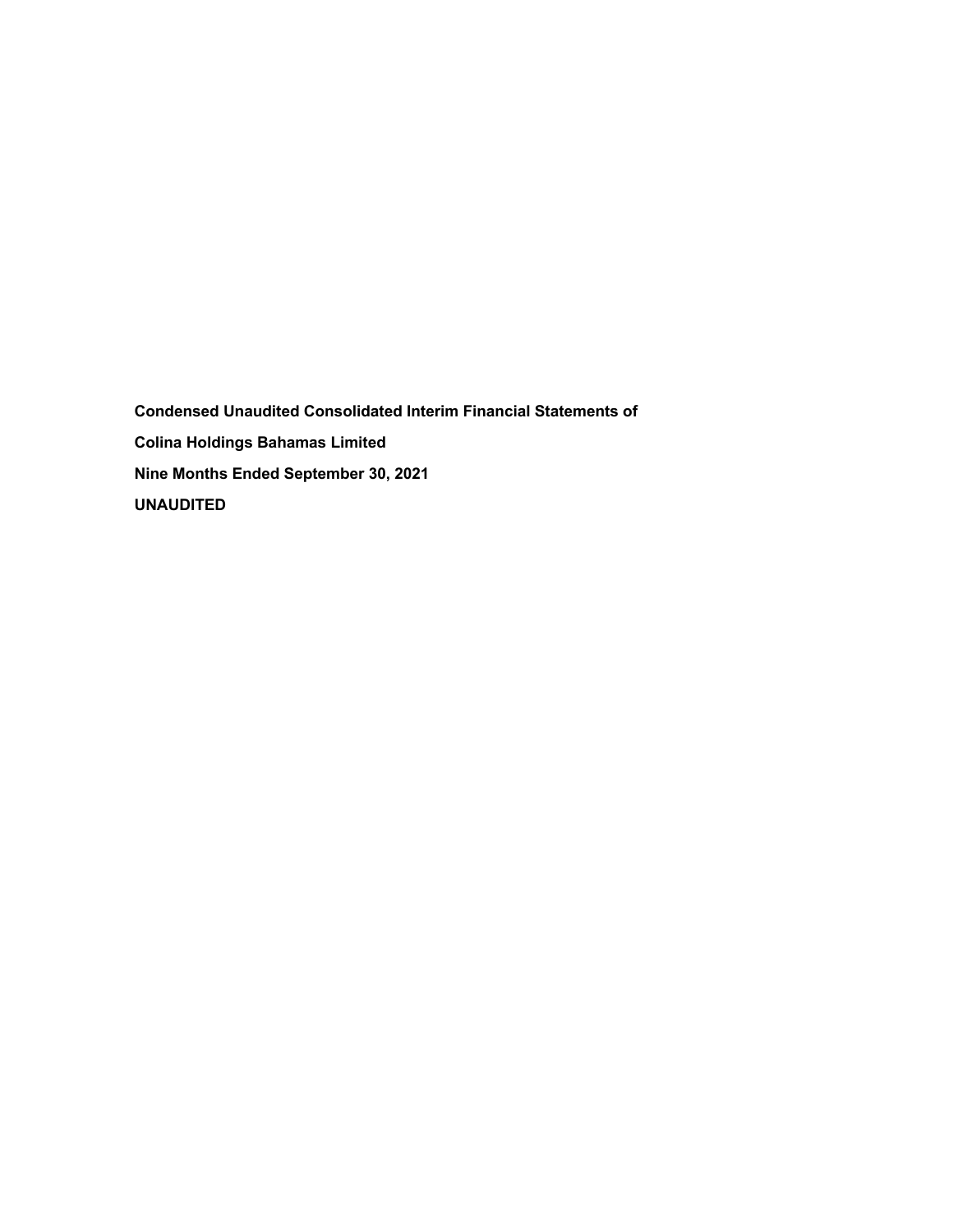**Condensed Unaudited Consolidated Interim Financial Statements of Colina Holdings Bahamas Limited Nine Months Ended September 30, 2021 UNAUDITED**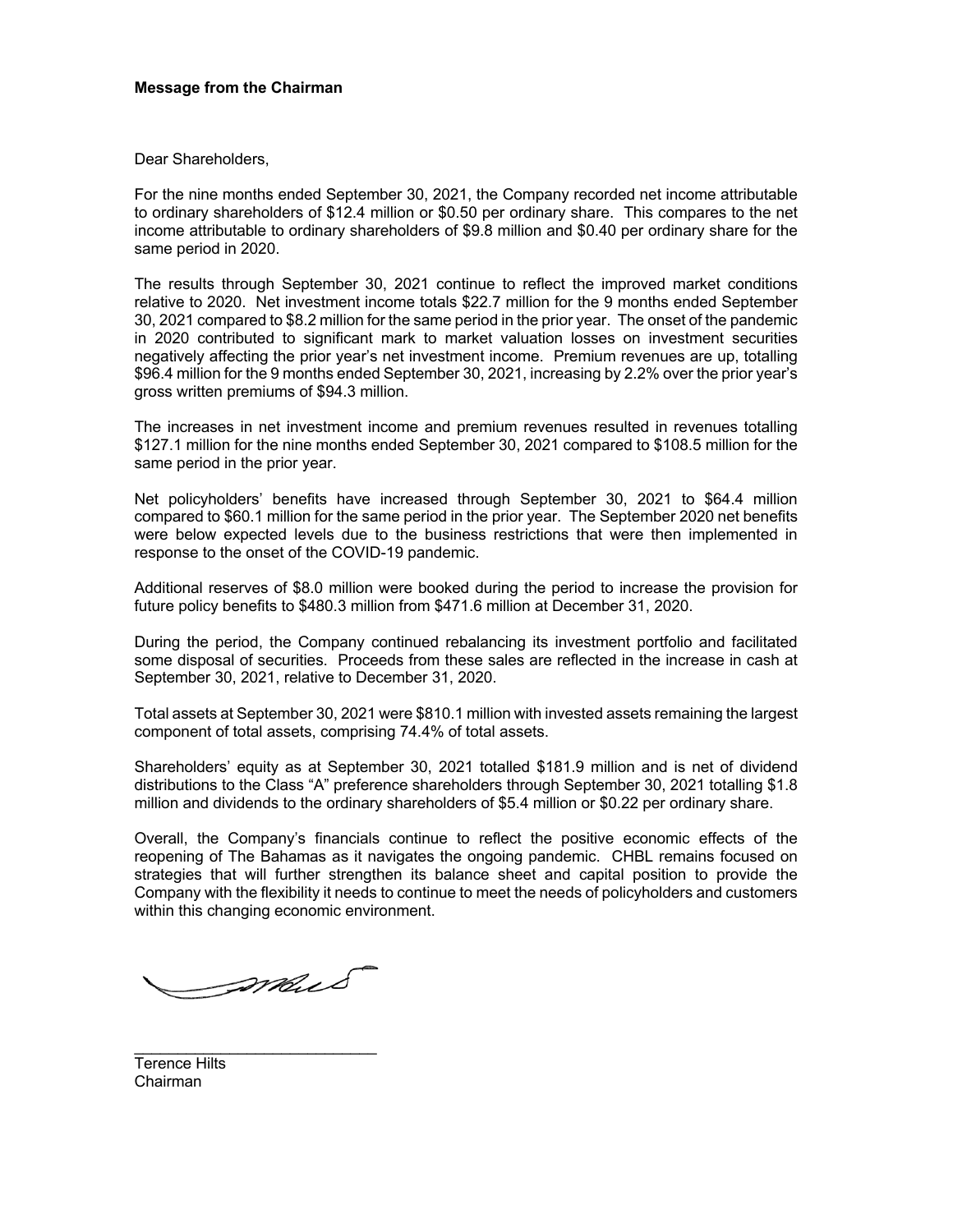# **Message from the Chairman**

Dear Shareholders,

For the nine months ended September 30, 2021, the Company recorded net income attributable to ordinary shareholders of \$12.4 million or \$0.50 per ordinary share. This compares to the net income attributable to ordinary shareholders of \$9.8 million and \$0.40 per ordinary share for the same period in 2020.

The results through September 30, 2021 continue to reflect the improved market conditions relative to 2020. Net investment income totals \$22.7 million for the 9 months ended September 30, 2021 compared to \$8.2 million for the same period in the prior year. The onset of the pandemic in 2020 contributed to significant mark to market valuation losses on investment securities negatively affecting the prior year's net investment income. Premium revenues are up, totalling \$96.4 million for the 9 months ended September 30, 2021, increasing by 2.2% over the prior year's gross written premiums of \$94.3 million.

The increases in net investment income and premium revenues resulted in revenues totalling \$127.1 million for the nine months ended September 30, 2021 compared to \$108.5 million for the same period in the prior year.

Net policyholders' benefits have increased through September 30, 2021 to \$64.4 million compared to \$60.1 million for the same period in the prior year. The September 2020 net benefits were below expected levels due to the business restrictions that were then implemented in response to the onset of the COVID-19 pandemic.

Additional reserves of \$8.0 million were booked during the period to increase the provision for future policy benefits to \$480.3 million from \$471.6 million at December 31, 2020.

During the period, the Company continued rebalancing its investment portfolio and facilitated some disposal of securities. Proceeds from these sales are reflected in the increase in cash at September 30, 2021, relative to December 31, 2020.

Total assets at September 30, 2021 were \$810.1 million with invested assets remaining the largest component of total assets, comprising 74.4% of total assets.

Shareholders' equity as at September 30, 2021 totalled \$181.9 million and is net of dividend distributions to the Class "A" preference shareholders through September 30, 2021 totalling \$1.8 million and dividends to the ordinary shareholders of \$5.4 million or \$0.22 per ordinary share.

Overall, the Company's financials continue to reflect the positive economic effects of the reopening of The Bahamas as it navigates the ongoing pandemic. CHBL remains focused on strategies that will further strengthen its balance sheet and capital position to provide the Company with the flexibility it needs to continue to meet the needs of policyholders and customers within this changing economic environment.

mus

\_\_\_\_\_\_\_\_\_\_\_\_\_\_\_\_\_\_\_\_\_\_\_\_\_\_\_\_

Terence Hilts Chairman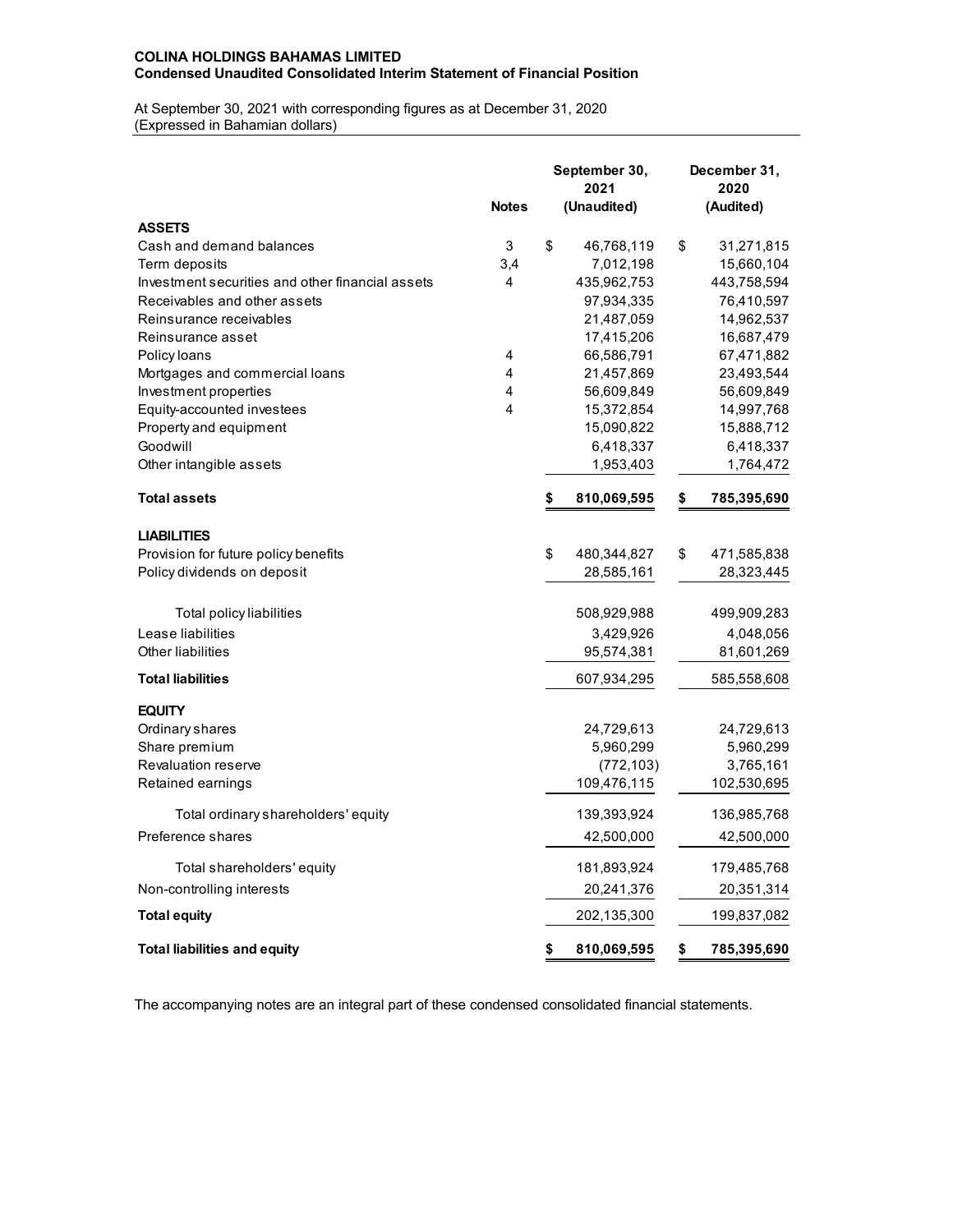# **COLINA HOLDINGS BAHAMAS LIMITED Condensed Unaudited Consolidated Interim Statement of Financial Position**

At September 30, 2021 with corresponding figures as at December 31, 2020 (Expressed in Bahamian dollars)

|                                                  |              | September 30,<br>2021 | December 31,<br>2020 |
|--------------------------------------------------|--------------|-----------------------|----------------------|
|                                                  | <b>Notes</b> | (Unaudited)           | (Audited)            |
| <b>ASSETS</b>                                    |              |                       |                      |
| Cash and demand balances                         | 3            | \$<br>46,768,119      | \$<br>31,271,815     |
| Term deposits                                    | 3,4          | 7,012,198             | 15,660,104           |
| Investment securities and other financial assets | 4            | 435,962,753           | 443,758,594          |
| Receivables and other assets                     |              | 97,934,335            | 76,410,597           |
| Reinsurance receivables                          |              | 21,487,059            | 14,962,537           |
| Reinsurance asset                                |              | 17,415,206            | 16,687,479           |
| Policy loans                                     | 4            | 66,586,791            | 67,471,882           |
| Mortgages and commercial loans                   | 4            | 21,457,869            | 23,493,544           |
| Investment properties                            | 4            | 56,609,849            | 56,609,849           |
| Equity-accounted investees                       | 4            | 15,372,854            | 14,997,768           |
| Property and equipment                           |              | 15,090,822            | 15,888,712           |
| Goodwill                                         |              | 6,418,337             | 6,418,337            |
| Other intangible assets                          |              | 1,953,403             | 1,764,472            |
| <b>Total assets</b>                              |              | 810,069,595           | \$<br>785,395,690    |
| <b>LIABILITIES</b>                               |              |                       |                      |
| Provision for future policy benefits             |              | \$<br>480,344,827     | \$<br>471,585,838    |
| Policy dividends on deposit                      |              | 28,585,161            | 28,323,445           |
| Total policy liabilities                         |              | 508,929,988           | 499,909,283          |
| Lease liabilities                                |              | 3,429,926             | 4,048,056            |
| <b>Other liabilities</b>                         |              | 95,574,381            | 81,601,269           |
| <b>Total liabilities</b>                         |              | 607,934,295           | 585,558,608          |
| <b>EQUITY</b>                                    |              |                       |                      |
| Ordinary shares                                  |              | 24,729,613            | 24,729,613           |
| Share premium                                    |              | 5,960,299             | 5,960,299            |
| Revaluation reserve                              |              | (772, 103)            | 3,765,161            |
| Retained earnings                                |              | 109,476,115           | 102,530,695          |
| Total ordinary shareholders' equity              |              | 139,393,924           | 136,985,768          |
| Preference shares                                |              | 42,500,000            | 42,500,000           |
| Total shareholders' equity                       |              | 181,893,924           | 179,485,768          |
| Non-controlling interests                        |              | 20,241,376            | 20,351,314           |
| <b>Total equity</b>                              |              | 202,135,300           | 199,837,082          |
| <b>Total liabilities and equity</b>              |              | \$<br>810,069,595     | \$<br>785,395,690    |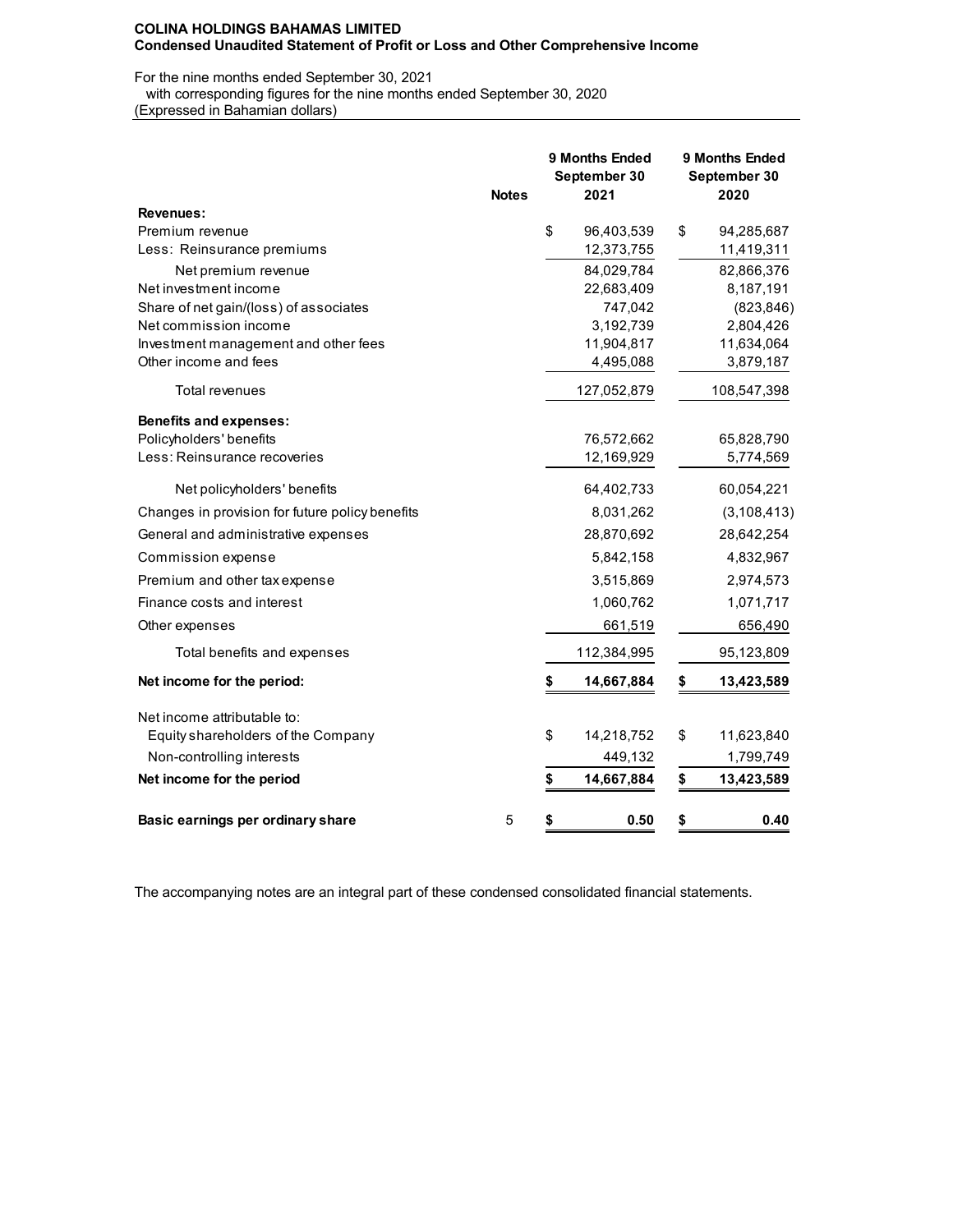For the nine months ended September 30, 2021

with corresponding figures for the nine months ended September 30, 2020

(Expressed in Bahamian dollars)

|                                                                 | <b>Notes</b> | 9 Months Ended<br>September 30<br>2021 | 9 Months Ended<br>September 30<br>2020 |
|-----------------------------------------------------------------|--------------|----------------------------------------|----------------------------------------|
| <b>Revenues:</b>                                                |              |                                        |                                        |
| Premium revenue                                                 |              | \$<br>96,403,539                       | \$<br>94,285,687                       |
| Less: Reinsurance premiums                                      |              | 12,373,755                             | 11,419,311                             |
| Net premium revenue                                             |              | 84,029,784                             | 82,866,376                             |
| Net investment income                                           |              | 22,683,409                             | 8,187,191                              |
| Share of net gain/(loss) of associates<br>Net commission income |              | 747,042<br>3,192,739                   | (823, 846)<br>2,804,426                |
| Investment management and other fees                            |              | 11,904,817                             | 11,634,064                             |
| Other income and fees                                           |              | 4,495,088                              | 3,879,187                              |
| Total revenues                                                  |              | 127,052,879                            | 108,547,398                            |
| <b>Benefits and expenses:</b>                                   |              |                                        |                                        |
| Policyholders' benefits                                         |              | 76,572,662                             | 65,828,790                             |
| Less: Reinsurance recoveries                                    |              | 12,169,929                             | 5,774,569                              |
| Net policyholders' benefits                                     |              | 64,402,733                             | 60,054,221                             |
| Changes in provision for future policy benefits                 |              | 8,031,262                              | (3, 108, 413)                          |
| General and administrative expenses                             |              | 28,870,692                             | 28,642,254                             |
| Commission expense                                              |              | 5,842,158                              | 4,832,967                              |
| Premium and other tax expense                                   |              | 3,515,869                              | 2,974,573                              |
| Finance costs and interest                                      |              | 1,060,762                              | 1,071,717                              |
| Other expenses                                                  |              | 661,519                                | 656,490                                |
| Total benefits and expenses                                     |              | 112,384,995                            | 95,123,809                             |
| Net income for the period:                                      |              | \$<br>14,667,884                       | \$<br>13,423,589                       |
| Net income attributable to:                                     |              |                                        |                                        |
| Equity shareholders of the Company                              |              | \$<br>14,218,752                       | \$<br>11,623,840                       |
| Non-controlling interests                                       |              | 449,132                                | 1,799,749                              |
| Net income for the period                                       |              | \$<br>14,667,884                       | \$<br>13,423,589                       |
| Basic earnings per ordinary share                               | 5            | \$<br>0.50                             | \$<br>0.40                             |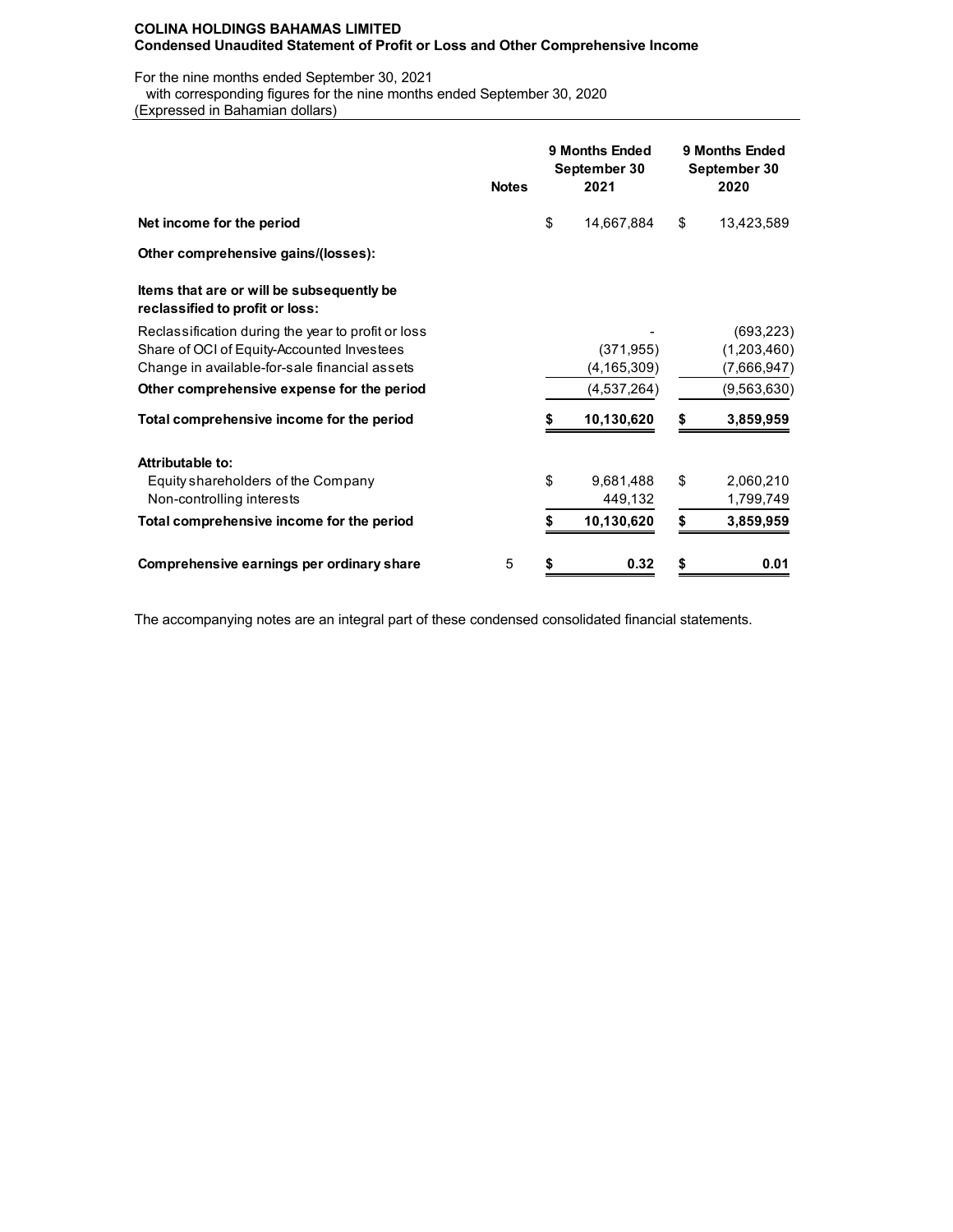For the nine months ended September 30, 2021

with corresponding figures for the nine months ended September 30, 2020

(Expressed in Bahamian dollars)

|                                                                              | <b>Notes</b> |    | <b>9 Months Ended</b><br>September 30<br>2021 | 9 Months Ended<br>September 30<br>2020 |             |  |  |  |
|------------------------------------------------------------------------------|--------------|----|-----------------------------------------------|----------------------------------------|-------------|--|--|--|
| Net income for the period                                                    |              | \$ | 14,667,884                                    | \$                                     | 13,423,589  |  |  |  |
| Other comprehensive gains/(losses):                                          |              |    |                                               |                                        |             |  |  |  |
| Items that are or will be subsequently be<br>reclassified to profit or loss: |              |    |                                               |                                        |             |  |  |  |
| Reclassification during the year to profit or loss                           |              |    |                                               |                                        | (693, 223)  |  |  |  |
| Share of OCI of Equity-Accounted Investees                                   |              |    | (371, 955)                                    |                                        | (1,203,460) |  |  |  |
| Change in available-for-sale financial assets                                |              |    | (4, 165, 309)                                 |                                        | (7,666,947) |  |  |  |
| Other comprehensive expense for the period                                   |              |    | (4,537,264)                                   |                                        | (9,563,630) |  |  |  |
| Total comprehensive income for the period                                    |              |    | 10,130,620                                    | S                                      | 3,859,959   |  |  |  |
| Attributable to:                                                             |              |    |                                               |                                        |             |  |  |  |
| Equity shareholders of the Company                                           |              | \$ | 9,681,488                                     | \$                                     | 2,060,210   |  |  |  |
| Non-controlling interests                                                    |              |    | 449,132                                       |                                        | 1,799,749   |  |  |  |
| Total comprehensive income for the period                                    |              |    | 10,130,620                                    | \$                                     | 3,859,959   |  |  |  |
| Comprehensive earnings per ordinary share                                    | 5            | \$ | 0.32                                          | \$                                     | 0.01        |  |  |  |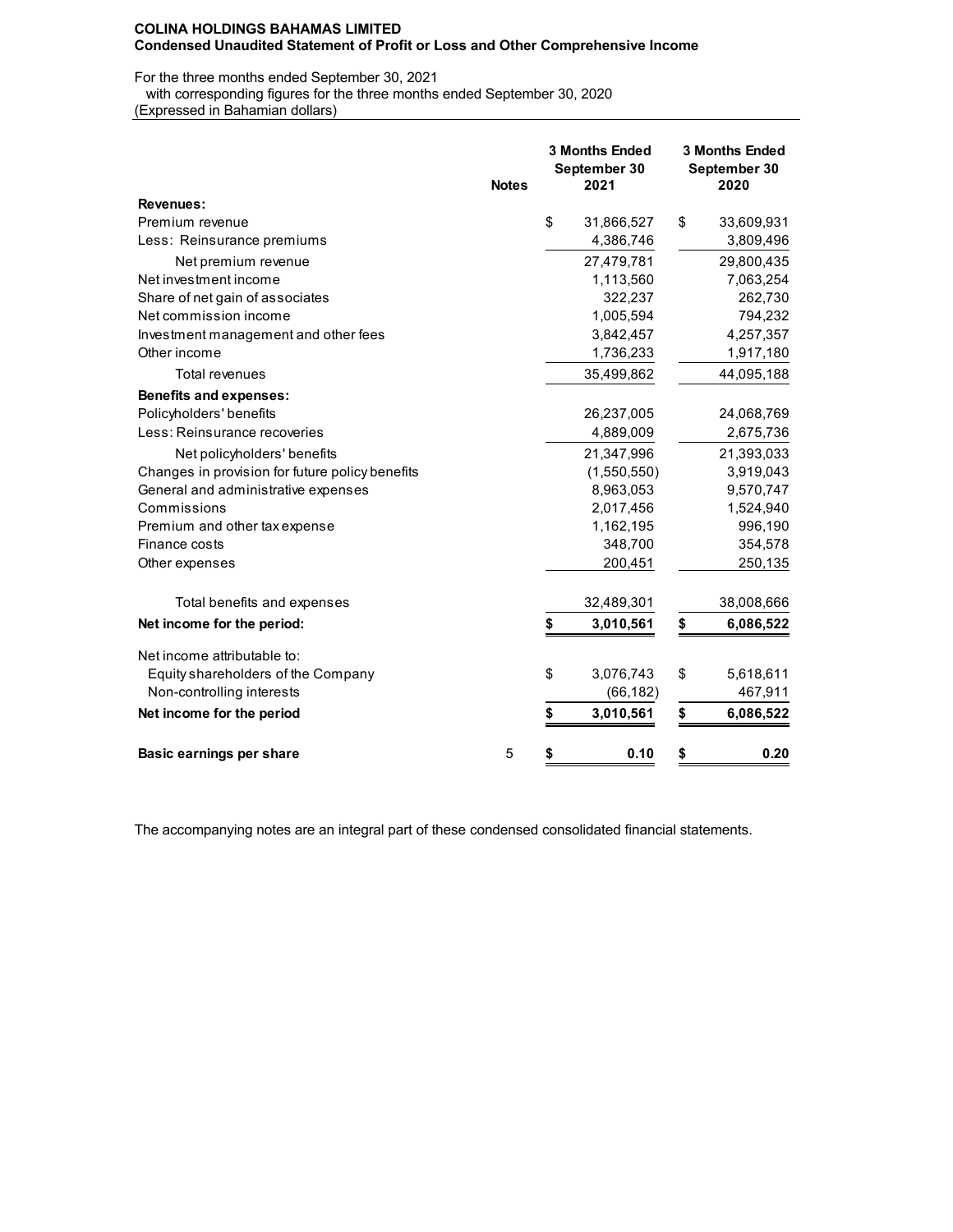For the three months ended September 30, 2021

with corresponding figures for the three months ended September 30, 2020

(Expressed in Bahamian dollars)

|                                                 | <b>Notes</b> | <b>3 Months Ended</b><br>September 30<br>2021 |             | <b>3 Months Ended</b><br>September 30<br>2020 |            |  |
|-------------------------------------------------|--------------|-----------------------------------------------|-------------|-----------------------------------------------|------------|--|
| <b>Revenues:</b>                                |              |                                               |             |                                               |            |  |
| Premium revenue                                 |              | \$                                            | 31,866,527  | \$                                            | 33,609,931 |  |
| Less: Reinsurance premiums                      |              |                                               | 4,386,746   |                                               | 3,809,496  |  |
| Net premium revenue                             |              |                                               | 27,479,781  |                                               | 29,800,435 |  |
| Net investment income                           |              |                                               | 1,113,560   |                                               | 7,063,254  |  |
| Share of net gain of associates                 |              |                                               | 322,237     |                                               | 262,730    |  |
| Net commission income                           |              |                                               | 1,005,594   |                                               | 794,232    |  |
| Investment management and other fees            |              |                                               | 3,842,457   |                                               | 4,257,357  |  |
| Other income                                    |              |                                               | 1,736,233   |                                               | 1,917,180  |  |
| <b>Total revenues</b>                           |              |                                               | 35,499,862  |                                               | 44,095,188 |  |
| <b>Benefits and expenses:</b>                   |              |                                               |             |                                               |            |  |
| Policyholders' benefits                         |              |                                               | 26,237,005  |                                               | 24,068,769 |  |
| Less: Reinsurance recoveries                    |              |                                               | 4,889,009   |                                               | 2,675,736  |  |
| Net policyholders' benefits                     |              |                                               | 21,347,996  |                                               | 21,393,033 |  |
| Changes in provision for future policy benefits |              |                                               | (1,550,550) |                                               | 3,919,043  |  |
| General and administrative expenses             |              |                                               | 8,963,053   |                                               | 9,570,747  |  |
| Commissions                                     |              |                                               | 2,017,456   |                                               | 1,524,940  |  |
| Premium and other tax expense                   |              |                                               | 1,162,195   |                                               | 996,190    |  |
| Finance costs                                   |              |                                               | 348,700     |                                               | 354,578    |  |
| Other expenses                                  |              |                                               | 200,451     |                                               | 250,135    |  |
| Total benefits and expenses                     |              |                                               | 32,489,301  |                                               | 38,008,666 |  |
| Net income for the period:                      |              | \$                                            | 3,010,561   | \$                                            | 6,086,522  |  |
|                                                 |              |                                               |             |                                               |            |  |
| Net income attributable to:                     |              |                                               |             |                                               |            |  |
| Equity shareholders of the Company              |              | \$                                            | 3,076,743   | \$                                            | 5,618,611  |  |
| Non-controlling interests                       |              |                                               | (66, 182)   |                                               | 467,911    |  |
| Net income for the period                       |              | \$                                            | 3,010,561   | \$                                            | 6,086,522  |  |
| Basic earnings per share                        | 5            | \$                                            | 0.10        | \$                                            | 0.20       |  |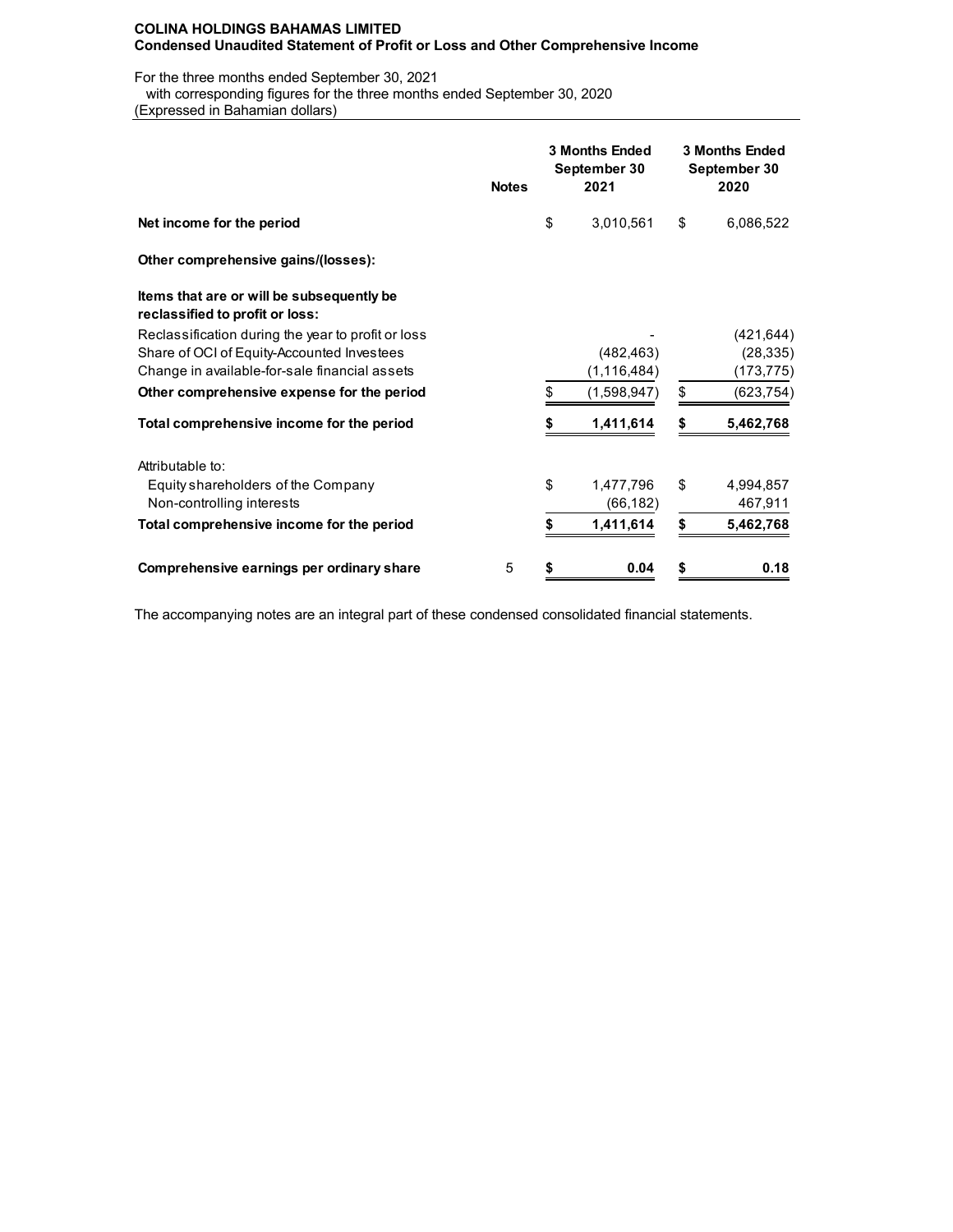For the three months ended September 30, 2021

with corresponding figures for the three months ended September 30, 2020

(Expressed in Bahamian dollars)

|                                                                              | <b>Notes</b> | <b>3 Months Ended</b><br>September 30<br>2021 | <b>3 Months Ended</b><br>September 30<br>2020 |            |  |  |
|------------------------------------------------------------------------------|--------------|-----------------------------------------------|-----------------------------------------------|------------|--|--|
| Net income for the period                                                    |              | \$<br>3,010,561                               | \$                                            | 6,086,522  |  |  |
| Other comprehensive gains/(losses):                                          |              |                                               |                                               |            |  |  |
| Items that are or will be subsequently be<br>reclassified to profit or loss: |              |                                               |                                               |            |  |  |
| Reclassification during the year to profit or loss                           |              |                                               |                                               | (421, 644) |  |  |
| Share of OCI of Equity-Accounted Investees                                   |              | (482, 463)                                    |                                               | (28, 335)  |  |  |
| Change in available-for-sale financial assets                                |              | (1, 116, 484)                                 |                                               | (173, 775) |  |  |
| Other comprehensive expense for the period                                   |              | \$<br>(1,598,947)                             | \$                                            | (623, 754) |  |  |
| Total comprehensive income for the period                                    |              | 1,411,614                                     | S                                             | 5,462,768  |  |  |
| Attributable to:                                                             |              |                                               |                                               |            |  |  |
| Equity shareholders of the Company                                           |              | \$<br>1,477,796                               | \$                                            | 4,994,857  |  |  |
| Non-controlling interests                                                    |              | (66,182)                                      |                                               | 467,911    |  |  |
| Total comprehensive income for the period                                    |              | 1,411,614                                     | \$                                            | 5,462,768  |  |  |
| Comprehensive earnings per ordinary share                                    | 5            | \$<br>0.04                                    | \$                                            | 0.18       |  |  |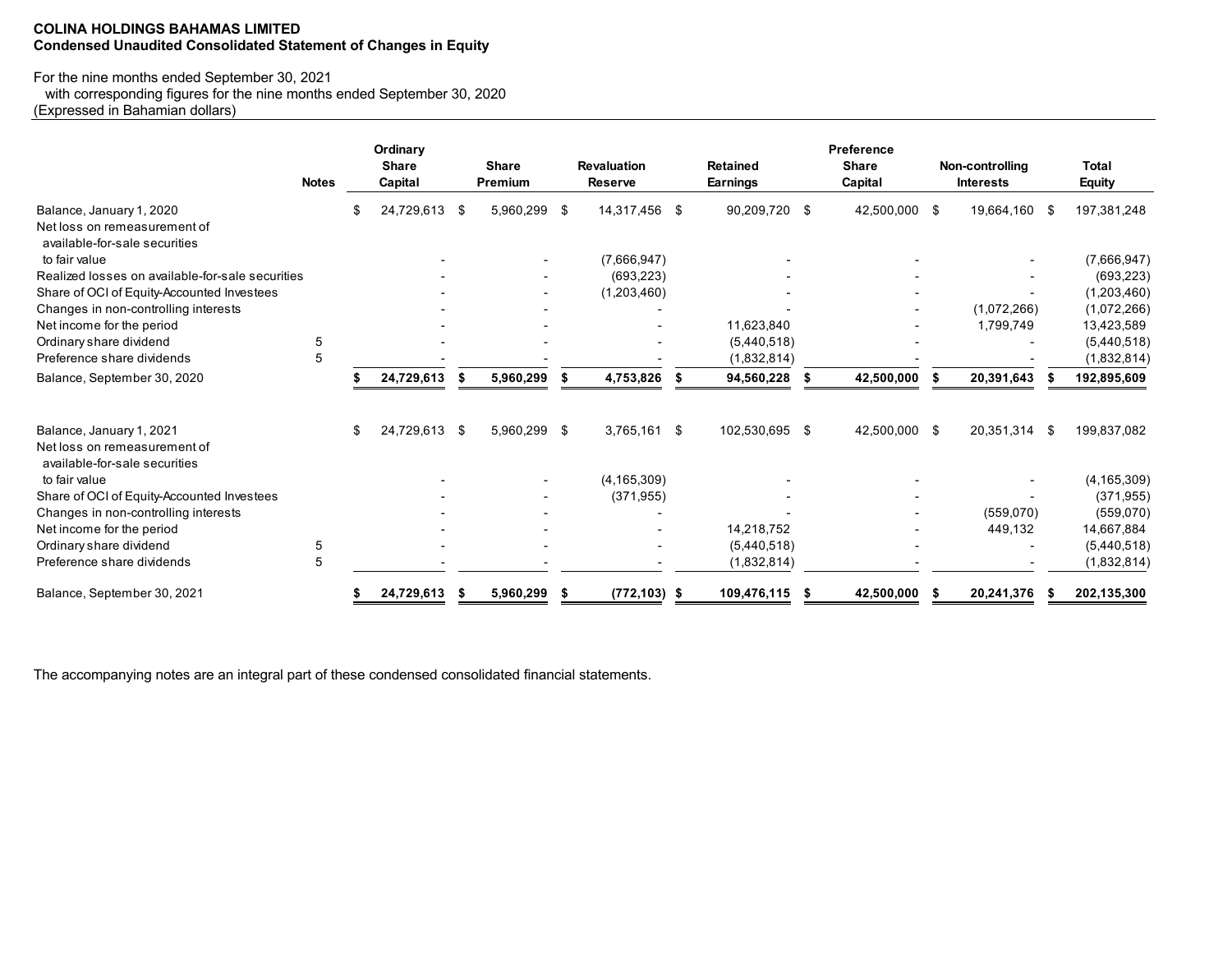# **COLINA HOLDINGS BAHAMAS LIMITED Condensed Unaudited Consolidated Statement of Changes in Equity**

# For the nine months ended September 30, 2021

with corresponding figures for the nine months ended September 30, 2020

(Expressed in Bahamian dollars)

|                                                               | <b>Notes</b> |    | Ordinary<br><b>Share</b><br>Capital |      | <b>Share</b><br>Premium  |      | <b>Revaluation</b><br><b>Reserve</b> |     | <b>Retained</b><br><b>Earnings</b> |     | Preference<br><b>Share</b><br>Capital |     | Non-controlling<br><b>Interests</b> |    | <b>Total</b><br><b>Equity</b> |
|---------------------------------------------------------------|--------------|----|-------------------------------------|------|--------------------------|------|--------------------------------------|-----|------------------------------------|-----|---------------------------------------|-----|-------------------------------------|----|-------------------------------|
| Balance, January 1, 2020                                      |              | £. | 24,729,613                          | - \$ | 5,960,299                | -\$  | 14,317,456                           | \$  | 90,209,720                         | -\$ | 42,500,000                            | -\$ | 19,664,160                          | -S | 197,381,248                   |
| Net loss on remeasurement of<br>available-for-sale securities |              |    |                                     |      |                          |      |                                      |     |                                    |     |                                       |     |                                     |    |                               |
| to fair value                                                 |              |    |                                     |      |                          |      | (7,666,947)                          |     |                                    |     |                                       |     |                                     |    | (7,666,947)                   |
| Realized losses on available-for-sale securities              |              |    |                                     |      |                          |      | (693, 223)                           |     |                                    |     |                                       |     |                                     |    | (693, 223)                    |
| Share of OCI of Equity-Accounted Investees                    |              |    |                                     |      |                          |      | (1,203,460)                          |     |                                    |     |                                       |     |                                     |    | (1,203,460)                   |
| Changes in non-controlling interests                          |              |    |                                     |      |                          |      |                                      |     |                                    |     |                                       |     | (1,072,266)                         |    | (1,072,266)                   |
| Net income for the period                                     |              |    |                                     |      |                          |      |                                      |     | 11,623,840                         |     |                                       |     | 1,799,749                           |    | 13,423,589                    |
| Ordinary share dividend                                       | 5            |    |                                     |      |                          |      |                                      |     | (5,440,518)                        |     |                                       |     |                                     |    | (5,440,518)                   |
| Preference share dividends                                    | 5            |    |                                     |      |                          |      |                                      |     | (1,832,814)                        |     |                                       |     |                                     |    | (1,832,814)                   |
| Balance, September 30, 2020                                   |              |    | 24,729,613                          |      | 5,960,299                | - \$ | 4,753,826                            | S   | 94,560,228                         |     | 42,500,000                            |     | 20,391,643                          |    | 192,895,609                   |
| Balance, January 1, 2021<br>Net loss on remeasurement of      |              | \$ | 24,729,613                          | - \$ | 5,960,299                | - \$ | 3,765,161                            | -\$ | 102,530,695 \$                     |     | 42,500,000                            | -\$ | 20,351,314                          | -S | 199,837,082                   |
| available-for-sale securities                                 |              |    |                                     |      |                          |      |                                      |     |                                    |     |                                       |     |                                     |    |                               |
| to fair value                                                 |              |    |                                     |      |                          |      | (4, 165, 309)                        |     |                                    |     |                                       |     |                                     |    | (4, 165, 309)                 |
| Share of OCI of Equity-Accounted Investees                    |              |    |                                     |      | $\overline{\phantom{a}}$ |      | (371, 955)                           |     |                                    |     |                                       |     |                                     |    | (371, 955)                    |
| Changes in non-controlling interests                          |              |    |                                     |      |                          |      |                                      |     |                                    |     |                                       |     | (559,070)                           |    | (559,070)                     |
| Net income for the period                                     |              |    |                                     |      |                          |      |                                      |     | 14,218,752                         |     |                                       |     | 449,132                             |    | 14,667,884                    |
| Ordinary share dividend                                       | 5            |    |                                     |      |                          |      |                                      |     | (5,440,518)                        |     |                                       |     |                                     |    | (5,440,518)                   |
| Preference share dividends                                    | 5            |    |                                     |      |                          |      |                                      |     | (1,832,814)                        |     |                                       |     |                                     |    | (1,832,814)                   |
| Balance, September 30, 2021                                   |              |    | 24,729,613                          | S    | 5,960,299                | \$   | $(772, 103)$ \$                      |     | 109,476,115                        | -5  | 42,500,000                            | S   | 20,241,376                          |    | 202,135,300                   |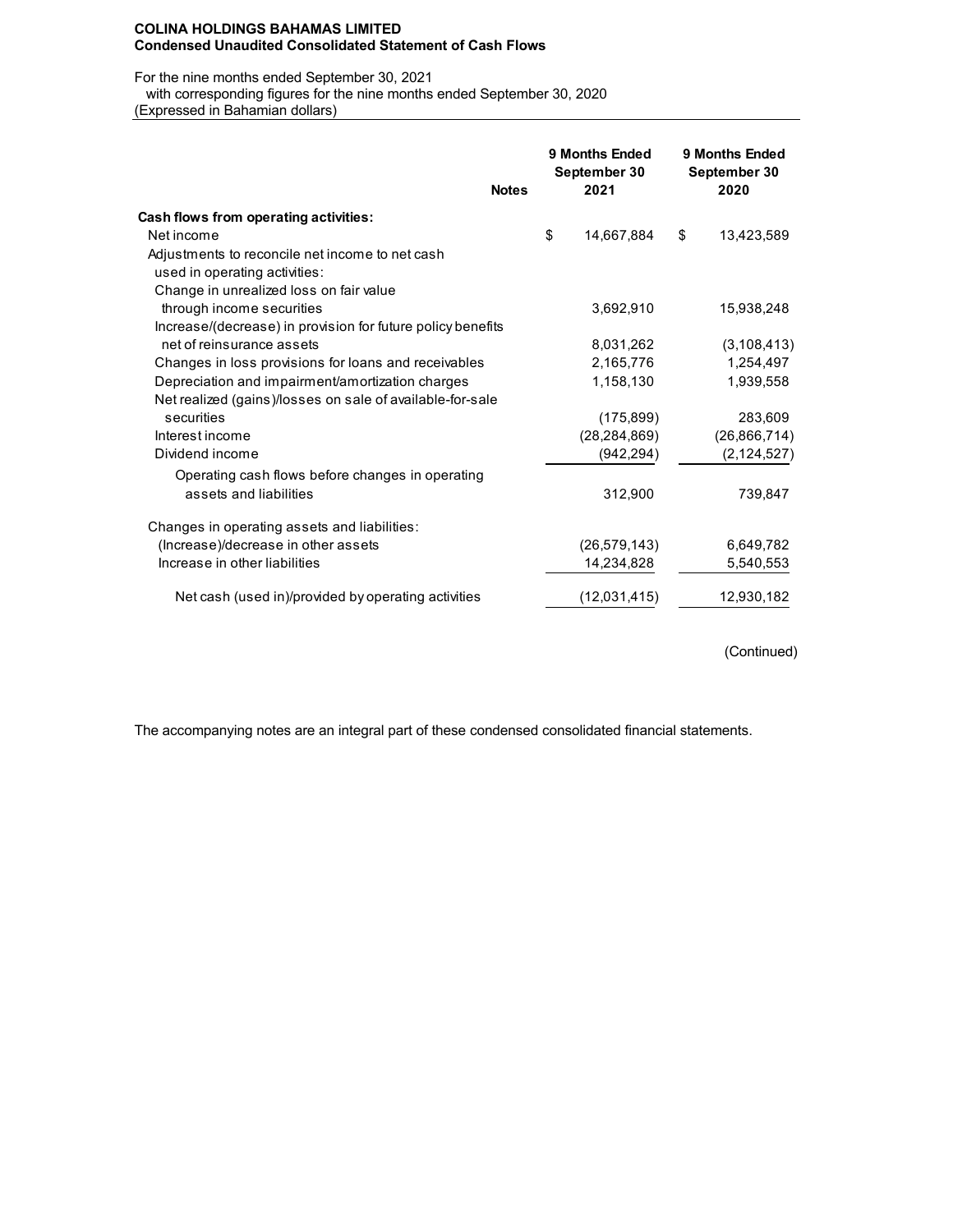#### **COLINA HOLDINGS BAHAMAS LIMITED Condensed Unaudited Consolidated Statement of Cash Flows**

For the nine months ended September 30, 2021

with corresponding figures for the nine months ended September 30, 2020

(Expressed in Bahamian dollars)

| <b>Notes</b>                                                | 9 Months Ended<br>September 30<br>2021 |    | 9 Months Ended<br>September 30<br>2020 |
|-------------------------------------------------------------|----------------------------------------|----|----------------------------------------|
| Cash flows from operating activities:                       |                                        |    |                                        |
| Net income                                                  | \$<br>14,667,884                       | \$ | 13,423,589                             |
| Adjustments to reconcile net income to net cash             |                                        |    |                                        |
| used in operating activities:                               |                                        |    |                                        |
| Change in unrealized loss on fair value                     |                                        |    |                                        |
| through income securities                                   | 3,692,910                              |    | 15,938,248                             |
| Increase/(decrease) in provision for future policy benefits |                                        |    |                                        |
| net of reinsurance assets                                   | 8,031,262                              |    | (3, 108, 413)                          |
| Changes in loss provisions for loans and receivables        | 2,165,776                              |    | 1,254,497                              |
| Depreciation and impairment/amortization charges            | 1,158,130                              |    | 1,939,558                              |
| Net realized (gains)/losses on sale of available-for-sale   |                                        |    |                                        |
| securities                                                  | (175, 899)                             |    | 283,609                                |
| Interest income                                             | (28, 284, 869)                         |    | (26, 866, 714)                         |
| Dividend income                                             | (942, 294)                             |    | (2, 124, 527)                          |
| Operating cash flows before changes in operating            |                                        |    |                                        |
| assets and liabilities                                      | 312,900                                |    | 739,847                                |
| Changes in operating assets and liabilities:                |                                        |    |                                        |
| (Increase)/decrease in other assets                         | (26, 579, 143)                         |    | 6,649,782                              |
| Increase in other liabilities                               | 14,234,828                             |    | 5,540,553                              |
| Net cash (used in)/provided by operating activities         | (12,031,415)                           |    | 12,930,182                             |

(Continued)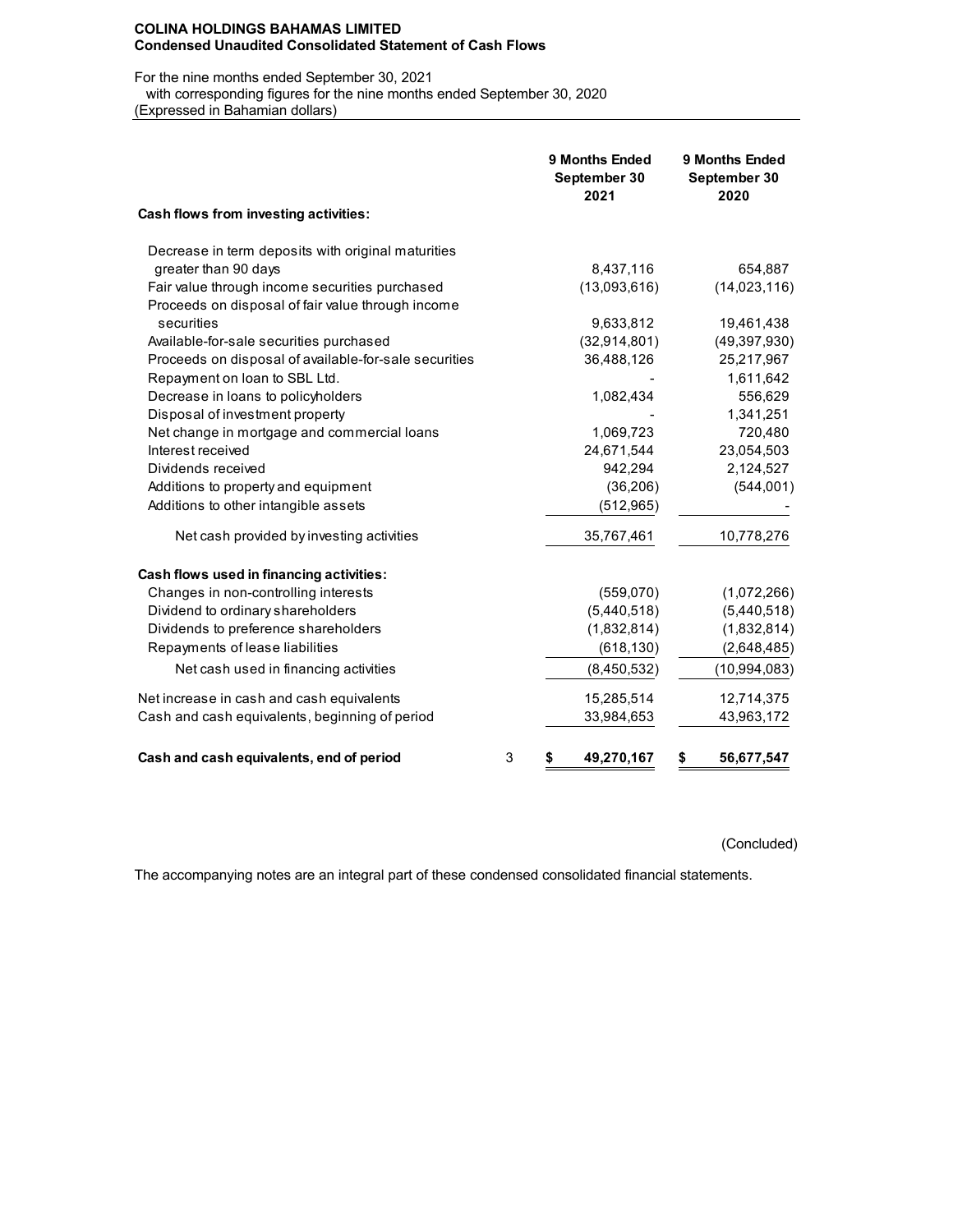#### **COLINA HOLDINGS BAHAMAS LIMITED Condensed Unaudited Consolidated Statement of Cash Flows**

For the nine months ended September 30, 2021

 with corresponding figures for the nine months ended September 30, 2020 (Expressed in Bahamian dollars)

|                                                       | 9 Months Ended<br>September 30<br>2021 | <b>9 Months Ended</b><br>September 30<br>2020 |
|-------------------------------------------------------|----------------------------------------|-----------------------------------------------|
| Cash flows from investing activities:                 |                                        |                                               |
| Decrease in term deposits with original maturities    |                                        |                                               |
| greater than 90 days                                  | 8,437,116                              | 654,887                                       |
| Fair value through income securities purchased        | (13,093,616)                           | (14,023,116)                                  |
| Proceeds on disposal of fair value through income     |                                        |                                               |
| securities                                            | 9,633,812                              | 19,461,438                                    |
| Available-for-sale securities purchased               | (32, 914, 801)                         | (49, 397, 930)                                |
| Proceeds on disposal of available-for-sale securities | 36,488,126                             | 25,217,967                                    |
| Repayment on loan to SBL Ltd.                         |                                        | 1,611,642                                     |
| Decrease in loans to policyholders                    | 1,082,434                              | 556,629                                       |
| Disposal of investment property                       |                                        | 1,341,251                                     |
| Net change in mortgage and commercial loans           | 1,069,723                              | 720,480                                       |
| Interest received                                     | 24,671,544                             | 23,054,503                                    |
| Dividends received                                    | 942,294                                | 2,124,527                                     |
| Additions to property and equipment                   | (36, 206)                              | (544,001)                                     |
| Additions to other intangible assets                  | (512, 965)                             |                                               |
| Net cash provided by investing activities             | 35,767,461                             | 10,778,276                                    |
| Cash flows used in financing activities:              |                                        |                                               |
| Changes in non-controlling interests                  | (559,070)                              | (1,072,266)                                   |
| Dividend to ordinary shareholders                     | (5,440,518)                            | (5,440,518)                                   |
| Dividends to preference shareholders                  | (1,832,814)                            | (1,832,814)                                   |
| Repayments of lease liabilities                       | (618, 130)                             | (2,648,485)                                   |
| Net cash used in financing activities                 | (8,450,532)                            | (10, 994, 083)                                |
| Net increase in cash and cash equivalents             | 15,285,514                             | 12,714,375                                    |
| Cash and cash equivalents, beginning of period        | 33,984,653                             | 43,963,172                                    |
| 3<br>Cash and cash equivalents, end of period         | 49,270,167<br>\$                       | \$<br>56,677,547                              |

(Concluded)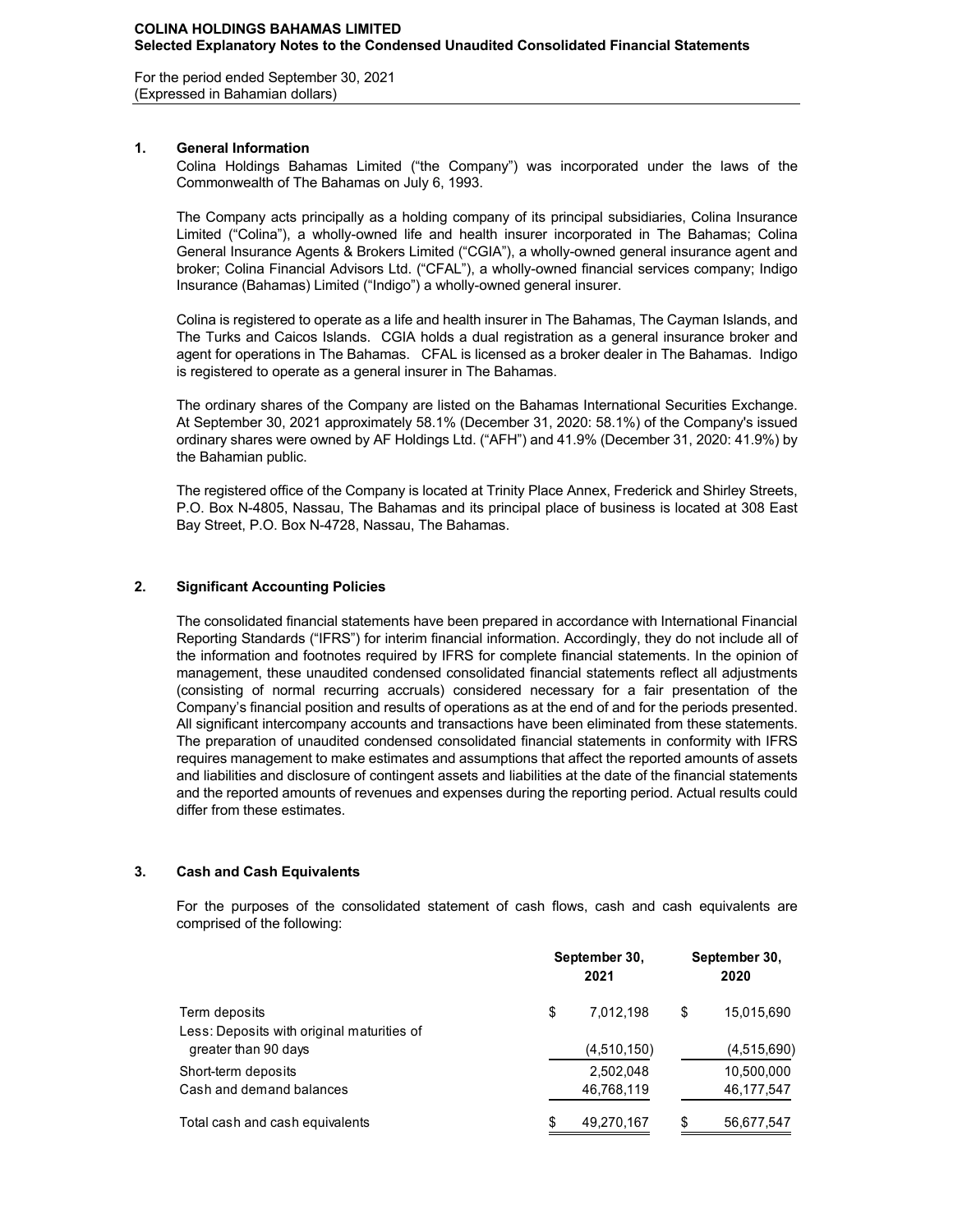For the period ended September 30, 2021 (Expressed in Bahamian dollars)

# **1. General Information**

Colina Holdings Bahamas Limited ("the Company") was incorporated under the laws of the Commonwealth of The Bahamas on July 6, 1993.

The Company acts principally as a holding company of its principal subsidiaries, Colina Insurance Limited ("Colina"), a wholly-owned life and health insurer incorporated in The Bahamas; Colina General Insurance Agents & Brokers Limited ("CGIA"), a wholly-owned general insurance agent and broker; Colina Financial Advisors Ltd. ("CFAL"), a wholly-owned financial services company; Indigo Insurance (Bahamas) Limited ("Indigo") a wholly-owned general insurer.

Colina is registered to operate as a life and health insurer in The Bahamas, The Cayman Islands, and The Turks and Caicos Islands. CGIA holds a dual registration as a general insurance broker and agent for operations in The Bahamas. CFAL is licensed as a broker dealer in The Bahamas. Indigo is registered to operate as a general insurer in The Bahamas.

The ordinary shares of the Company are listed on the Bahamas International Securities Exchange. At September 30, 2021 approximately 58.1% (December 31, 2020: 58.1%) of the Company's issued ordinary shares were owned by AF Holdings Ltd. ("AFH") and 41.9% (December 31, 2020: 41.9%) by the Bahamian public.

The registered office of the Company is located at Trinity Place Annex, Frederick and Shirley Streets, P.O. Box N-4805, Nassau, The Bahamas and its principal place of business is located at 308 East Bay Street, P.O. Box N-4728, Nassau, The Bahamas.

# **2. Significant Accounting Policies**

The consolidated financial statements have been prepared in accordance with International Financial Reporting Standards ("IFRS") for interim financial information. Accordingly, they do not include all of the information and footnotes required by IFRS for complete financial statements. In the opinion of management, these unaudited condensed consolidated financial statements reflect all adjustments (consisting of normal recurring accruals) considered necessary for a fair presentation of the Company's financial position and results of operations as at the end of and for the periods presented. All significant intercompany accounts and transactions have been eliminated from these statements. The preparation of unaudited condensed consolidated financial statements in conformity with IFRS requires management to make estimates and assumptions that affect the reported amounts of assets and liabilities and disclosure of contingent assets and liabilities at the date of the financial statements and the reported amounts of revenues and expenses during the reporting period. Actual results could differ from these estimates.

# **3. Cash and Cash Equivalents**

For the purposes of the consolidated statement of cash flows, cash and cash equivalents are comprised of the following:

|                                            | September 30,<br>2021 | September 30,<br>2020 |             |  |  |
|--------------------------------------------|-----------------------|-----------------------|-------------|--|--|
| Term deposits                              | \$<br>7,012,198       | \$                    | 15,015,690  |  |  |
| Less: Deposits with original maturities of |                       |                       |             |  |  |
| greater than 90 days                       | (4,510,150)           |                       | (4,515,690) |  |  |
| Short-term deposits                        | 2,502,048             |                       | 10,500,000  |  |  |
| Cash and demand balances                   | 46,768,119            |                       | 46,177,547  |  |  |
| Total cash and cash equivalents            | \$<br>49,270,167      | \$                    | 56,677,547  |  |  |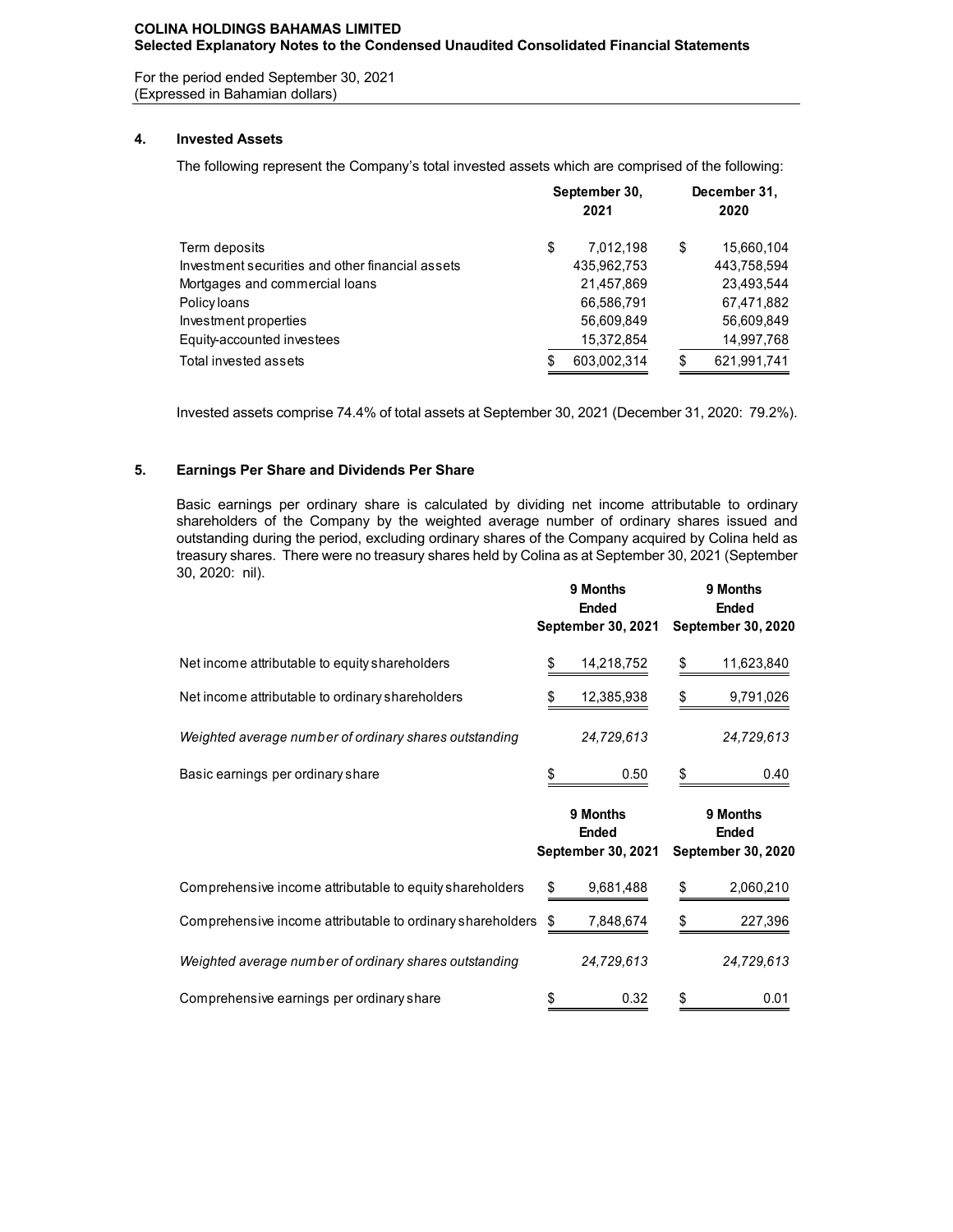# **COLINA HOLDINGS BAHAMAS LIMITED Selected Explanatory Notes to the Condensed Unaudited Consolidated Financial Statements**

For the period ended September 30, 2021 (Expressed in Bahamian dollars)

# **4. Invested Assets**

The following represent the Company's total invested assets which are comprised of the following:

|                                                  |  | September 30,<br>2021 | December 31,<br>2020 |             |  |  |  |
|--------------------------------------------------|--|-----------------------|----------------------|-------------|--|--|--|
| Term deposits                                    |  | 7.012.198             | \$                   | 15,660,104  |  |  |  |
| Investment securities and other financial assets |  | 435,962,753           |                      | 443,758,594 |  |  |  |
| Mortgages and commercial loans                   |  | 21,457,869            |                      | 23,493,544  |  |  |  |
| Policy loans                                     |  | 66,586,791            |                      | 67,471,882  |  |  |  |
| Investment properties                            |  | 56,609,849            |                      | 56,609,849  |  |  |  |
| Equity-accounted investees                       |  | 15,372,854            |                      | 14,997,768  |  |  |  |
| Total invested assets                            |  | 603,002,314           |                      | 621,991,741 |  |  |  |

Invested assets comprise 74.4% of total assets at September 30, 2021 (December 31, 2020: 79.2%).

# **5. Earnings Per Share and Dividends Per Share**

Basic earnings per ordinary share is calculated by dividing net income attributable to ordinary shareholders of the Company by the weighted average number of ordinary shares issued and outstanding during the period, excluding ordinary shares of the Company acquired by Colina held as treasury shares. There were no treasury shares held by Colina as at September 30, 2021 (September 30, 2020: nil). **9 Months 9 Months**

|                                                        | <b>9 MONTAS</b><br>Ended<br><b>September 30, 2021</b> | <b>9 MONTAS</b><br>Ended<br><b>September 30, 2020</b> |            |  |  |  |
|--------------------------------------------------------|-------------------------------------------------------|-------------------------------------------------------|------------|--|--|--|
| Net income attributable to equity shareholders         | 14,218,752                                            | \$                                                    | 11,623,840 |  |  |  |
| Net income attributable to ordinary shareholders       | 12,385,938                                            | \$                                                    | 9,791,026  |  |  |  |
| Weighted average number of ordinary shares outstanding | 24,729,613                                            |                                                       | 24,729,613 |  |  |  |
| Basic earnings per ordinary share                      | \$<br>0.50                                            | \$                                                    | 0.40       |  |  |  |

|                                                            | 9 Months<br><b>Ended</b><br><b>September 30, 2021</b> | 9 Months<br>Ended<br><b>September 30, 2020</b> |
|------------------------------------------------------------|-------------------------------------------------------|------------------------------------------------|
| Comprehensive income attributable to equity shareholders   | 9,681,488<br>S                                        | \$<br>2,060,210                                |
| Comprehensive income attributable to ordinary shareholders | 7,848,674<br>S                                        | \$<br>227,396                                  |
| Weighted average number of ordinary shares outstanding     | 24,729,613                                            | 24,729,613                                     |
| Comprehensive earnings per ordinary share                  | \$<br>0.32                                            | \$<br>0.01                                     |